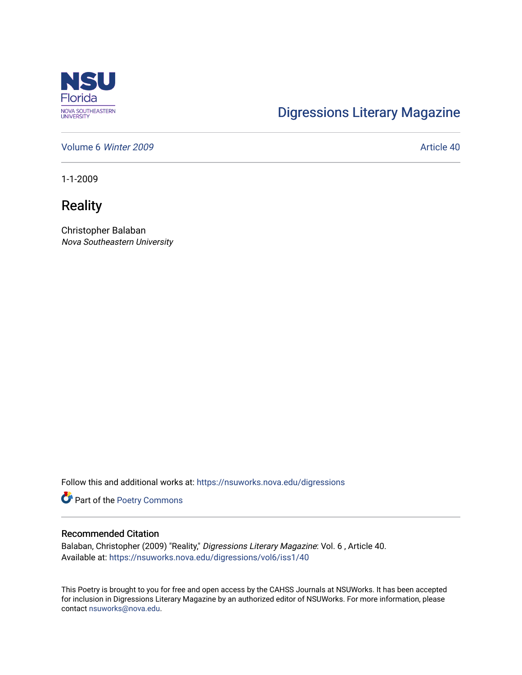

## [Digressions Literary Magazine](https://nsuworks.nova.edu/digressions)

[Volume 6](https://nsuworks.nova.edu/digressions/vol6) Winter 2009 **Article 40** 

1-1-2009

**Reality** 

Christopher Balaban Nova Southeastern University

Follow this and additional works at: [https://nsuworks.nova.edu/digressions](https://nsuworks.nova.edu/digressions?utm_source=nsuworks.nova.edu%2Fdigressions%2Fvol6%2Fiss1%2F40&utm_medium=PDF&utm_campaign=PDFCoverPages) 

Part of the [Poetry Commons](http://network.bepress.com/hgg/discipline/1153?utm_source=nsuworks.nova.edu%2Fdigressions%2Fvol6%2Fiss1%2F40&utm_medium=PDF&utm_campaign=PDFCoverPages) 

## Recommended Citation

Balaban, Christopher (2009) "Reality," Digressions Literary Magazine: Vol. 6 , Article 40. Available at: [https://nsuworks.nova.edu/digressions/vol6/iss1/40](https://nsuworks.nova.edu/digressions/vol6/iss1/40?utm_source=nsuworks.nova.edu%2Fdigressions%2Fvol6%2Fiss1%2F40&utm_medium=PDF&utm_campaign=PDFCoverPages) 

This Poetry is brought to you for free and open access by the CAHSS Journals at NSUWorks. It has been accepted for inclusion in Digressions Literary Magazine by an authorized editor of NSUWorks. For more information, please contact [nsuworks@nova.edu.](mailto:nsuworks@nova.edu)